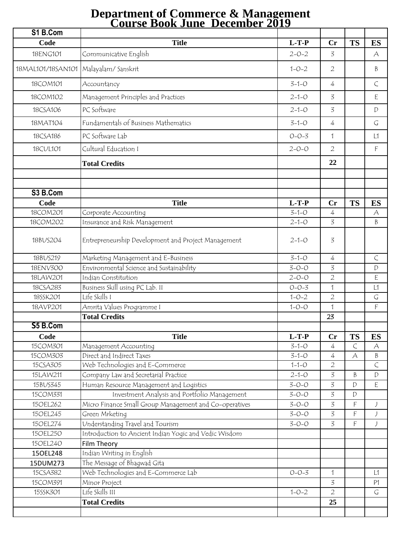## **Department of Commerce & Management Course Book June\_December 2019**

| S1 B.Com          |                                                        |             |                |                |           |
|-------------------|--------------------------------------------------------|-------------|----------------|----------------|-----------|
| Code              | <b>Title</b>                                           | $L-T-P$     | Cr             | <b>TS</b>      | <b>ES</b> |
| 18ENG101          | Communicative English                                  | $2 - 0 - 2$ | 3              |                | A         |
| 18MAL101/18SAN101 | Malayalam/Sanskrit                                     | $1 - 0 - 2$ | $\overline{2}$ |                | B         |
| 18COM101          | Accountancy                                            | $3 - 1 - 0$ | 4              |                | $\subset$ |
| 18COM102          | Management Principles and Practices                    | $2 - 1 - 0$ | 3              |                | E         |
| 18CSA106          | PC Software                                            | $2 - 1 - 0$ | 3              |                | D         |
| 18MAT104          | Fundamentals of Business Mathematics                   | $3 - 1 - 0$ | 4              |                | G         |
| 18CSA186          | PC Software Lab                                        | $O - O - 3$ | $\mathbf 1$    |                | L1        |
| 18CUL101          | Cultural Education I                                   | $2 - 0 - 0$ | $\overline{2}$ |                | F         |
|                   | <b>Total Credits</b>                                   |             | 22             |                |           |
| S3 B.Com          |                                                        |             |                |                |           |
| Code              | <b>Title</b>                                           | $L-T-P$     | Cr             | <b>TS</b>      | <b>ES</b> |
| 18COM201          | Corporate Accounting                                   | $3 - 1 - 0$ | 4              |                | $\forall$ |
| 18COM202          | Insurance and Risk Management                          | $2 - 1 - 0$ | 3              |                | B         |
| 18BUS204          | Entrepreneurship Development and Project Management    | $2 - 1 - 0$ | 3              |                |           |
| 18BUS219          | Marketing Management and E-Business                    | $3 - 1 - 0$ | 4              |                | $\subset$ |
| 18ENV300          | Environmental Science and Sustainability               | $3 - 0 - 0$ | 3              |                | D         |
| 18LAW201          | Indian Constitution                                    | $2 - 0 - 0$ | $\overline{2}$ |                | E         |
| 18CSA283          | Business Skill using PC Lab. II                        | $O - O - 3$ | $\mathbf 1$    |                | L1        |
| 18SSK201          | Life Skills I                                          | $1 - 0 - 2$ | $\overline{2}$ |                | G         |
| 18AVP201          | Amrita Values Programme I                              | $1 - 0 - 0$ | 1              |                | F         |
|                   | <b>Total Credits</b>                                   |             | 23             |                |           |
| S5 B.Com          |                                                        |             |                |                |           |
| Code              | <b>Title</b>                                           | $L-T-P$     | Cr             | <b>TS</b>      | <b>ES</b> |
| 15COM301          | Management Accounting                                  | $3 - 1 - 0$ | 4              | $\subset$      | А         |
| 15COM303          | Direct and Indirect Taxes                              | $3 - 1 - 0$ | 4              | A              | Β         |
| 15CSA305          | Web Technologies and E-Commerce                        | $1 - 1 - 0$ | $\overline{2}$ |                | $\subset$ |
| 15LAW211          | Company Law and Secretarial Practice                   | $2 - 1 - 0$ | 3              | B              | D         |
| 15BUS345          | Human Resource Management and Logistics                | $3 - 0 - 0$ | 3              | $\mathsf{D}$   | E         |
| 15COM331          | Investment Analysis and Portfolio Management           | $3 - 0 - 0$ | 3              | $\mathsf{D}$   |           |
| 15OEL262          | Micro Finance Small Group Management and Co-operatives | $3 - 0 - 0$ | 3              | $\mathsf F$    | J         |
| 15OEL245          | Green Mrketing                                         | $3 - 0 - 0$ | $\overline{3}$ | $\overline{F}$ | J         |
| 15OEL274          | Understanding Travel and Tourism                       | $3 - 0 - 0$ | 3              | F              | J         |
| 15OEL250          | Introduction to Ancient Indian Yogic and Vedic Wisdom  |             |                |                |           |
| 15OEL240          | Film Theory                                            |             |                |                |           |
| 150EL248          | Indian Writing in English                              |             |                |                |           |
| 15DUM273          | The Message of Bhagwad Gita                            |             |                |                |           |
| 15CSA382          | Web Technologies and E-Commerce Lab                    | $O - O - 3$ | 1              |                | L1        |
| 15COM391          | Minor Project                                          |             | 3              |                | P1        |
| 15SSK301          | Life Skills III                                        | $1 - 0 - 2$ | $\overline{2}$ |                | G         |
|                   | <b>Total Credits</b>                                   |             | 25             |                |           |
|                   |                                                        |             |                |                |           |